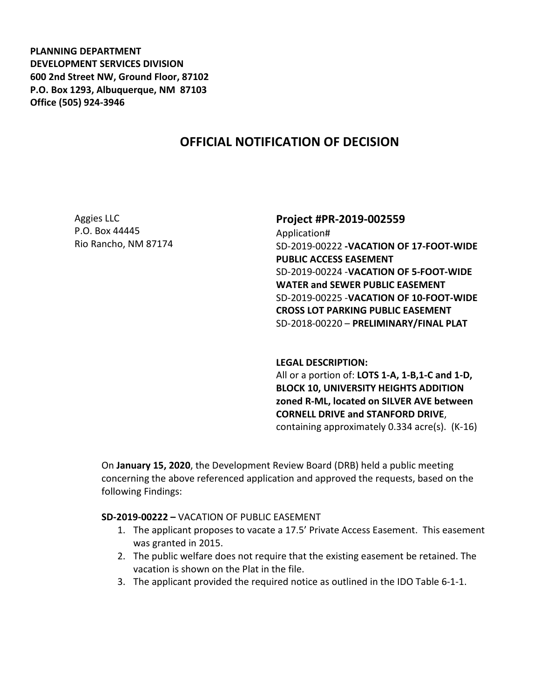**PLANNING DEPARTMENT DEVELOPMENT SERVICES DIVISION 600 2nd Street NW, Ground Floor, 87102 P.O. Box 1293, Albuquerque, NM 87103 Office (505) 924-3946** 

# **OFFICIAL NOTIFICATION OF DECISION**

Aggies LLC P.O. Box 44445 Rio Rancho, NM 87174

### **Project #PR-2019-002559**

Application# SD-2019-00222 **-VACATION OF 17-FOOT-WIDE PUBLIC ACCESS EASEMENT** SD-2019-00224 -**VACATION OF 5-FOOT-WIDE WATER and SEWER PUBLIC EASEMENT** SD-2019-00225 -**VACATION OF 10-FOOT-WIDE CROSS LOT PARKING PUBLIC EASEMENT** SD-2018-00220 – **PRELIMINARY/FINAL PLAT**

#### **LEGAL DESCRIPTION:**

All or a portion of: **LOTS 1-A, 1-B,1-C and 1-D, BLOCK 10, UNIVERSITY HEIGHTS ADDITION zoned R-ML, located on SILVER AVE between CORNELL DRIVE and STANFORD DRIVE**, containing approximately 0.334 acre(s). (K-16)

On **January 15, 2020**, the Development Review Board (DRB) held a public meeting concerning the above referenced application and approved the requests, based on the following Findings:

#### **SD-2019-00222 –** VACATION OF PUBLIC EASEMENT

- 1. The applicant proposes to vacate a 17.5' Private Access Easement. This easement was granted in 2015.
- 2. The public welfare does not require that the existing easement be retained. The vacation is shown on the Plat in the file.
- 3. The applicant provided the required notice as outlined in the IDO Table 6-1-1.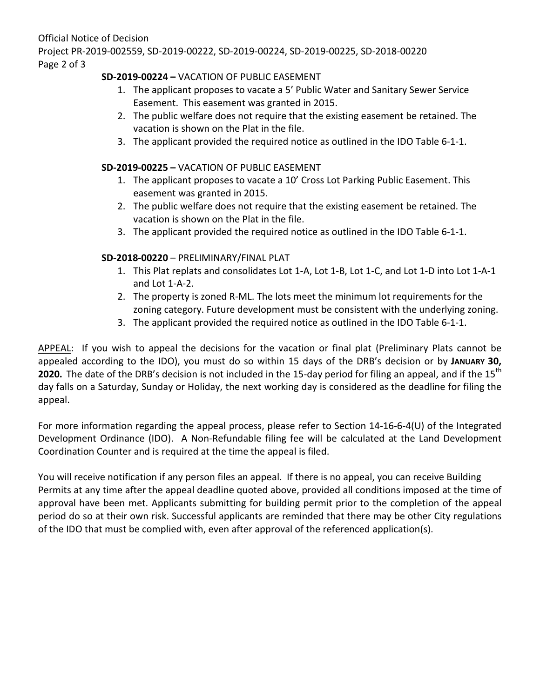Official Notice of Decision Project PR-2019-002559, SD-2019-00222, SD-2019-00224, SD-2019-00225, SD-2018-00220 Page 2 of 3

## **SD-2019-00224 –** VACATION OF PUBLIC EASEMENT

- 1. The applicant proposes to vacate a 5' Public Water and Sanitary Sewer Service Easement. This easement was granted in 2015.
- 2. The public welfare does not require that the existing easement be retained. The vacation is shown on the Plat in the file.
- 3. The applicant provided the required notice as outlined in the IDO Table 6-1-1.

### **SD-2019-00225 –** VACATION OF PUBLIC EASEMENT

- 1. The applicant proposes to vacate a 10' Cross Lot Parking Public Easement. This easement was granted in 2015.
- 2. The public welfare does not require that the existing easement be retained. The vacation is shown on the Plat in the file.
- 3. The applicant provided the required notice as outlined in the IDO Table 6-1-1.

## **SD-2018-00220** – PRELIMINARY/FINAL PLAT

- 1. This Plat replats and consolidates Lot 1-A, Lot 1-B, Lot 1-C, and Lot 1-D into Lot 1-A-1 and Lot 1-A-2.
- 2. The property is zoned R-ML. The lots meet the minimum lot requirements for the zoning category. Future development must be consistent with the underlying zoning.
- 3. The applicant provided the required notice as outlined in the IDO Table 6-1-1.

APPEAL: If you wish to appeal the decisions for the vacation or final plat (Preliminary Plats cannot be appealed according to the IDO), you must do so within 15 days of the DRB's decision or by **JANUARY 30, 2020.** The date of the DRB's decision is not included in the 15-day period for filing an appeal, and if the 15<sup>th</sup> day falls on a Saturday, Sunday or Holiday, the next working day is considered as the deadline for filing the appeal.

For more information regarding the appeal process, please refer to Section 14-16-6-4(U) of the Integrated Development Ordinance (IDO). A Non-Refundable filing fee will be calculated at the Land Development Coordination Counter and is required at the time the appeal is filed.

You will receive notification if any person files an appeal. If there is no appeal, you can receive Building Permits at any time after the appeal deadline quoted above, provided all conditions imposed at the time of approval have been met. Applicants submitting for building permit prior to the completion of the appeal period do so at their own risk. Successful applicants are reminded that there may be other City regulations of the IDO that must be complied with, even after approval of the referenced application(s).